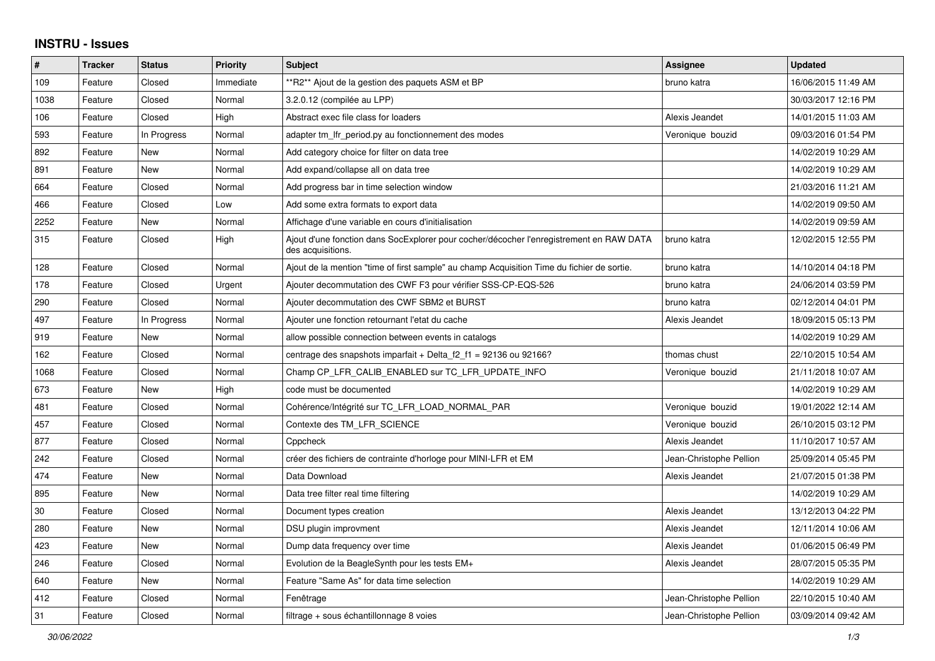## **INSTRU - Issues**

| $\sharp$ | <b>Tracker</b> | <b>Status</b> | <b>Priority</b> | <b>Subject</b>                                                                                               | Assignee                | <b>Updated</b>      |
|----------|----------------|---------------|-----------------|--------------------------------------------------------------------------------------------------------------|-------------------------|---------------------|
| 109      | Feature        | Closed        | Immediate       | **R2** Ajout de la gestion des paquets ASM et BP                                                             | bruno katra             | 16/06/2015 11:49 AM |
| 1038     | Feature        | Closed        | Normal          | 3.2.0.12 (compilée au LPP)                                                                                   |                         | 30/03/2017 12:16 PM |
| 106      | Feature        | Closed        | High            | Abstract exec file class for loaders                                                                         | Alexis Jeandet          | 14/01/2015 11:03 AM |
| 593      | Feature        | In Progress   | Normal          | adapter tm Ifr period py au fonctionnement des modes                                                         | Veronique bouzid        | 09/03/2016 01:54 PM |
| 892      | Feature        | <b>New</b>    | Normal          | Add category choice for filter on data tree                                                                  |                         | 14/02/2019 10:29 AM |
| 891      | Feature        | New           | Normal          | Add expand/collapse all on data tree                                                                         |                         | 14/02/2019 10:29 AM |
| 664      | Feature        | Closed        | Normal          | Add progress bar in time selection window                                                                    |                         | 21/03/2016 11:21 AM |
| 466      | Feature        | Closed        | Low             | Add some extra formats to export data                                                                        |                         | 14/02/2019 09:50 AM |
| 2252     | Feature        | New           | Normal          | Affichage d'une variable en cours d'initialisation                                                           |                         | 14/02/2019 09:59 AM |
| 315      | Feature        | Closed        | High            | Ajout d'une fonction dans SocExplorer pour cocher/décocher l'enregistrement en RAW DATA<br>des acquisitions. | bruno katra             | 12/02/2015 12:55 PM |
| 128      | Feature        | Closed        | Normal          | Ajout de la mention "time of first sample" au champ Acquisition Time du fichier de sortie.                   | bruno katra             | 14/10/2014 04:18 PM |
| 178      | Feature        | Closed        | Urgent          | Ajouter decommutation des CWF F3 pour vérifier SSS-CP-EQS-526                                                | bruno katra             | 24/06/2014 03:59 PM |
| 290      | Feature        | Closed        | Normal          | Ajouter decommutation des CWF SBM2 et BURST                                                                  | bruno katra             | 02/12/2014 04:01 PM |
| 497      | Feature        | In Progress   | Normal          | Ajouter une fonction retournant l'etat du cache                                                              | Alexis Jeandet          | 18/09/2015 05:13 PM |
| 919      | Feature        | New           | Normal          | allow possible connection between events in catalogs                                                         |                         | 14/02/2019 10:29 AM |
| 162      | Feature        | Closed        | Normal          | centrage des snapshots imparfait + Delta $f2 f1 = 92136$ ou 92166?                                           | thomas chust            | 22/10/2015 10:54 AM |
| 1068     | Feature        | Closed        | Normal          | Champ CP_LFR_CALIB_ENABLED sur TC_LFR_UPDATE_INFO                                                            | Veronique bouzid        | 21/11/2018 10:07 AM |
| 673      | Feature        | <b>New</b>    | High            | code must be documented                                                                                      |                         | 14/02/2019 10:29 AM |
| 481      | Feature        | Closed        | Normal          | Cohérence/Intégrité sur TC_LFR_LOAD_NORMAL_PAR                                                               | Veronique bouzid        | 19/01/2022 12:14 AM |
| 457      | Feature        | Closed        | Normal          | Contexte des TM_LFR_SCIENCE                                                                                  | Veronique bouzid        | 26/10/2015 03:12 PM |
| 877      | Feature        | Closed        | Normal          | Cppcheck                                                                                                     | Alexis Jeandet          | 11/10/2017 10:57 AM |
| 242      | Feature        | Closed        | Normal          | créer des fichiers de contrainte d'horloge pour MINI-LFR et EM                                               | Jean-Christophe Pellion | 25/09/2014 05:45 PM |
| 474      | Feature        | New           | Normal          | Data Download                                                                                                | Alexis Jeandet          | 21/07/2015 01:38 PM |
| 895      | Feature        | New           | Normal          | Data tree filter real time filtering                                                                         |                         | 14/02/2019 10:29 AM |
| 30       | Feature        | Closed        | Normal          | Document types creation                                                                                      | Alexis Jeandet          | 13/12/2013 04:22 PM |
| 280      | Feature        | New           | Normal          | DSU plugin improvment                                                                                        | Alexis Jeandet          | 12/11/2014 10:06 AM |
| 423      | Feature        | <b>New</b>    | Normal          | Dump data frequency over time                                                                                | Alexis Jeandet          | 01/06/2015 06:49 PM |
| 246      | Feature        | Closed        | Normal          | Evolution de la BeagleSynth pour les tests EM+                                                               | Alexis Jeandet          | 28/07/2015 05:35 PM |
| 640      | Feature        | New           | Normal          | Feature "Same As" for data time selection                                                                    |                         | 14/02/2019 10:29 AM |
| 412      | Feature        | Closed        | Normal          | Fenêtrage                                                                                                    | Jean-Christophe Pellion | 22/10/2015 10:40 AM |
| 31       | Feature        | Closed        | Normal          | filtrage + sous échantillonnage 8 voies                                                                      | Jean-Christophe Pellion | 03/09/2014 09:42 AM |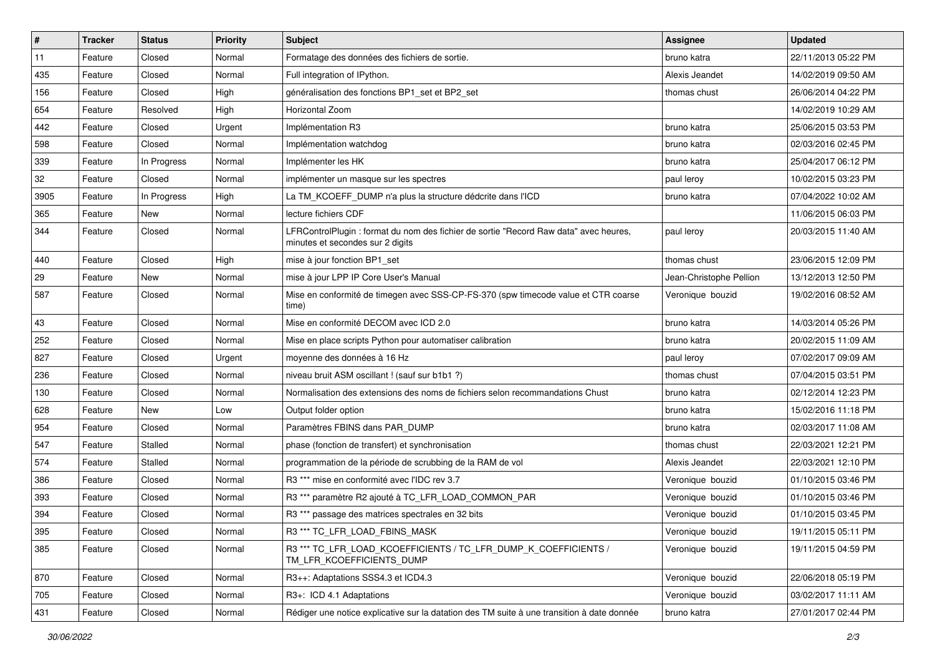| $\sharp$ | <b>Tracker</b> | <b>Status</b> | <b>Priority</b> | <b>Subject</b>                                                                                                            | Assignee                | <b>Updated</b>      |
|----------|----------------|---------------|-----------------|---------------------------------------------------------------------------------------------------------------------------|-------------------------|---------------------|
| 11       | Feature        | Closed        | Normal          | Formatage des données des fichiers de sortie.                                                                             | bruno katra             | 22/11/2013 05:22 PM |
| 435      | Feature        | Closed        | Normal          | Full integration of IPython.                                                                                              | Alexis Jeandet          | 14/02/2019 09:50 AM |
| 156      | Feature        | Closed        | High            | généralisation des fonctions BP1 set et BP2 set                                                                           | thomas chust            | 26/06/2014 04:22 PM |
| 654      | Feature        | Resolved      | High            | Horizontal Zoom                                                                                                           |                         | 14/02/2019 10:29 AM |
| 442      | Feature        | Closed        | Urgent          | Implémentation R3                                                                                                         | bruno katra             | 25/06/2015 03:53 PM |
| 598      | Feature        | Closed        | Normal          | Implémentation watchdog                                                                                                   | bruno katra             | 02/03/2016 02:45 PM |
| 339      | Feature        | In Progress   | Normal          | Implémenter les HK                                                                                                        | bruno katra             | 25/04/2017 06:12 PM |
| 32       | Feature        | Closed        | Normal          | implémenter un masque sur les spectres                                                                                    | paul leroy              | 10/02/2015 03:23 PM |
| 3905     | Feature        | In Progress   | High            | La TM KCOEFF DUMP n'a plus la structure dédcrite dans l'ICD                                                               | bruno katra             | 07/04/2022 10:02 AM |
| 365      | Feature        | <b>New</b>    | Normal          | lecture fichiers CDF                                                                                                      |                         | 11/06/2015 06:03 PM |
| 344      | Feature        | Closed        | Normal          | LFRControlPlugin : format du nom des fichier de sortie "Record Raw data" avec heures,<br>minutes et secondes sur 2 digits | paul leroy              | 20/03/2015 11:40 AM |
| 440      | Feature        | Closed        | High            | mise à jour fonction BP1 set                                                                                              | thomas chust            | 23/06/2015 12:09 PM |
| 29       | Feature        | New           | Normal          | mise à jour LPP IP Core User's Manual                                                                                     | Jean-Christophe Pellion | 13/12/2013 12:50 PM |
| 587      | Feature        | Closed        | Normal          | Mise en conformité de timegen avec SSS-CP-FS-370 (spw timecode value et CTR coarse<br>time)                               | Veronique bouzid        | 19/02/2016 08:52 AM |
| 43       | Feature        | Closed        | Normal          | Mise en conformité DECOM avec ICD 2.0                                                                                     | bruno katra             | 14/03/2014 05:26 PM |
| 252      | Feature        | Closed        | Normal          | Mise en place scripts Python pour automatiser calibration                                                                 | bruno katra             | 20/02/2015 11:09 AM |
| 827      | Feature        | Closed        | Urgent          | moyenne des données à 16 Hz                                                                                               | paul leroy              | 07/02/2017 09:09 AM |
| 236      | Feature        | Closed        | Normal          | niveau bruit ASM oscillant ! (sauf sur b1b1 ?)                                                                            | thomas chust            | 07/04/2015 03:51 PM |
| 130      | Feature        | Closed        | Normal          | Normalisation des extensions des noms de fichiers selon recommandations Chust                                             | bruno katra             | 02/12/2014 12:23 PM |
| 628      | Feature        | New           | Low             | Output folder option                                                                                                      | bruno katra             | 15/02/2016 11:18 PM |
| 954      | Feature        | Closed        | Normal          | Paramètres FBINS dans PAR_DUMP                                                                                            | bruno katra             | 02/03/2017 11:08 AM |
| 547      | Feature        | Stalled       | Normal          | phase (fonction de transfert) et synchronisation                                                                          | thomas chust            | 22/03/2021 12:21 PM |
| 574      | Feature        | Stalled       | Normal          | programmation de la période de scrubbing de la RAM de vol                                                                 | Alexis Jeandet          | 22/03/2021 12:10 PM |
| 386      | Feature        | Closed        | Normal          | R3 *** mise en conformité avec l'IDC rev 3.7                                                                              | Veronique bouzid        | 01/10/2015 03:46 PM |
| 393      | Feature        | Closed        | Normal          | R3 *** paramètre R2 ajouté à TC_LFR_LOAD_COMMON_PAR                                                                       | Veronique bouzid        | 01/10/2015 03:46 PM |
| 394      | Feature        | Closed        | Normal          | R3 *** passage des matrices spectrales en 32 bits                                                                         | Veronique bouzid        | 01/10/2015 03:45 PM |
| 395      | Feature        | Closed        | Normal          | R3 *** TC LFR LOAD FBINS MASK                                                                                             | Veronique bouzid        | 19/11/2015 05:11 PM |
| 385      | Feature        | Closed        | Normal          | R3 *** TC_LFR_LOAD_KCOEFFICIENTS / TC_LFR_DUMP_K_COEFFICIENTS /<br>TM_LFR_KCOEFFICIENTS_DUMP                              | Veronique bouzid        | 19/11/2015 04:59 PM |
| 870      | Feature        | Closed        | Normal          | R3++: Adaptations SSS4.3 et ICD4.3                                                                                        | Veronique bouzid        | 22/06/2018 05:19 PM |
| 705      | Feature        | Closed        | Normal          | R3+: ICD 4.1 Adaptations                                                                                                  | Veronique bouzid        | 03/02/2017 11:11 AM |
| 431      | Feature        | Closed        | Normal          | Rédiger une notice explicative sur la datation des TM suite à une transition à date donnée                                | bruno katra             | 27/01/2017 02:44 PM |